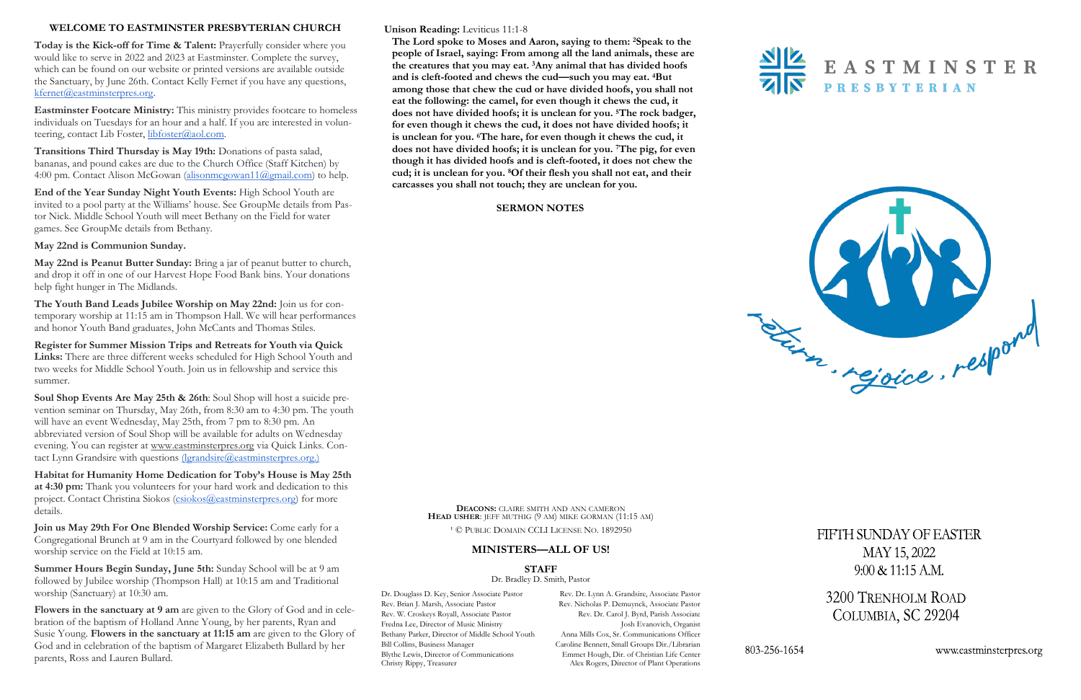### **Unison Reading:** Leviticus 11:1-8

**The Lord spoke to Moses and Aaron, saying to them: <sup>2</sup>Speak to the people of Israel, saying: From among all the land animals, these are the creatures that you may eat. <sup>3</sup>Any animal that has divided hoofs and is cleft-footed and chews the cud—such you may eat. <sup>4</sup>But among those that chew the cud or have divided hoofs, you shall not eat the following: the camel, for even though it chews the cud, it does not have divided hoofs; it is unclean for you. <sup>5</sup>The rock badger, for even though it chews the cud, it does not have divided hoofs; it is unclean for you. <sup>6</sup>The hare, for even though it chews the cud, it does not have divided hoofs; it is unclean for you. <sup>7</sup>The pig, for even though it has divided hoofs and is cleft-footed, it does not chew the cud; it is unclean for you. <sup>8</sup>Of their flesh you shall not eat, and their carcasses you shall not touch; they are unclean for you.** 

**Eastminster Footcare Ministry:** This ministry provides footcare to homeless individuals on Tuesdays for an hour and a half. If you are interested in volunteering, contact Lib Foster, [libfoster@aol.com.](mailto:libfoster@aol.com)

#### **SERMON NOTES**



# **WELCOME TO EASTMINSTER PRESBYTERIAN CHURCH**

**Today is the Kick-off for Time & Talent:** Prayerfully consider where you would like to serve in 2022 and 2023 at Eastminster. Complete the survey, which can be found on our website or printed versions are available outside the Sanctuary, by June 26th. Contact Kelly Fernet if you have any questions, [kfernet@eastminsterpres.org.](mailto:kfernet@eastminsterpres.org)

**Transitions Third Thursday is May 19th:** Donations of pasta salad, bananas, and pound cakes are due to the Church Office (Staff Kitchen) by 4:00 pm. Contact Alison McGowan [\(alisonmcgowan11@gmail.com\)](mailto:alisonmcgowan11@gmail.com) to help.

**End of the Year Sunday Night Youth Events:** High School Youth are invited to a pool party at the Williams' house. See GroupMe details from Pastor Nick. Middle School Youth will meet Bethany on the Field for water games. See GroupMe details from Bethany.

# **May 22nd is Communion Sunday.**

Dr. Douglass D. Key, Senior Associate Pastor Rev. Dr. Lynn A. Grandsire, Associate Pastor Alex Rogers, Director of Plant Operations



FIFTH SUNDAY OF EASTER MAY 15, 2022  $9:00 \& 11:15 A.M.$ 

3200 TRENHOLM ROAD COLUMBIA, SC 29204

www.eastminsterpres.org

**May 22nd is Peanut Butter Sunday:** Bring a jar of peanut butter to church, and drop it off in one of our Harvest Hope Food Bank bins. Your donations help fight hunger in The Midlands.

> Rev. Brian J. Marsh, Associate Pastor Rev. Nicholas P. Demuynck, Associate Pastor Rev. W. Croskeys Royall, Associate Pastor Rev. Dr. Carol J. Byrd, Parish Associate Fredna Lee, Director of Music Ministry **Josh Evanovich, Organist** Bethany Parker, Director of Middle School Youth Anna Mills Cox, Sr. Communications Officer Bill Collins, Business Manager Caroline Bennett, Small Groups Dir./Librarian Blythe Lewis, Director of Communications Emmet Hough, Dir. of Christian Life Center<br>Christy Rippy, Treasurer Alex Rogers, Director of Plant Operations

**The Youth Band Leads Jubilee Worship on May 22nd:** Join us for contemporary worship at 11:15 am in Thompson Hall. We will hear performances and honor Youth Band graduates, John McCants and Thomas Stiles.

**Register for Summer Mission Trips and Retreats for Youth via Quick Links:** There are three different weeks scheduled for High School Youth and two weeks for Middle School Youth. Join us in fellowship and service this summer.

**Soul Shop Events Are May 25th & 26th**: Soul Shop will host a suicide prevention seminar on Thursday, May 26th, from 8:30 am to 4:30 pm. The youth will have an event Wednesday, May 25th, from 7 pm to 8:30 pm. An abbreviated version of Soul Shop will be available for adults on Wednesday evening. You can register at [www.eastminsterpres.org](http://www.eastminsterpres.org) via Quick Links. Contact Lynn Grandsire with questions [\(lgrandsire@eastminsterpres.org.\)](mailto:lgrandsire@eastminsterpres.org)

**Habitat for Humanity Home Dedication for Toby's House is May 25th at 4:30 pm:** Thank you volunteers for your hard work and dedication to this project. Contact Christina Siokos [\(csiokos@eastminsterpres.org\)](mailto:csiokos@eastminsterpres.org) for more details.

**Join us May 29th For One Blended Worship Service:** Come early for a Congregational Brunch at 9 am in the Courtyard followed by one blended worship service on the Field at 10:15 am.

**Summer Hours Begin Sunday, June 5th:** Sunday School will be at 9 am followed by Jubilee worship (Thompson Hall) at 10:15 am and Traditional worship (Sanctuary) at 10:30 am.

**Flowers in the sanctuary at 9 am** are given to the Glory of God and in celebration of the baptism of Holland Anne Young, by her parents, Ryan and Susie Young. **Flowers in the sanctuary at 11:15 am** are given to the Glory of God and in celebration of the baptism of Margaret Elizabeth Bullard by her parents, Ross and Lauren Bullard.

**DEACONS:** CLAIRE SMITH AND ANN CAMERON **HEAD USHER**: JEFF MUTHIG (9 AM) MIKE GORMAN (11:15 AM)

<sup>1</sup> © PUBLIC DOMAIN CCLI LICENSE NO. 1892950

# **MINISTERS—ALL OF US!**

#### **STAFF**

Dr. Bradley D. Smith, Pastor